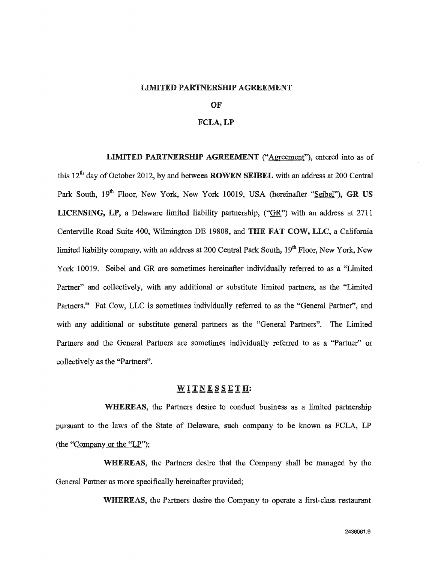#### **LIMITED PARTNERSHIP AGREEMENT**

#### **OF**

## **FCLA, LP**

**LIMITED PARTNERSHIP AGREEMENT** ("Agreement"), entered into as of this 12<sup>th</sup> day of October 2012, by and between **ROWEN SEIBEL** with an address at 200 Central Park South, 19<sup>th</sup> Floor, New York, New York 10019, USA (hereinafter "Seibel"), GR US **LICENSING, LP,** a Delaware limited liability partnership, ("GR") with an address at 2711 Centerville Road Suite 400, Wilmington DE 19808, and **THE FAT COW, LLC,** a California limited liability company, with an address at 200 Central Park South, 19<sup>th</sup> Floor, New York, New York 10019. Seibel and GR are sometimes hereinafter individually referred to as a "Limited Partner" and collectively, with any additional or substitute limited partners, as the "Limited Partners." Fat Cow, LLC is sometimes individually referred to as the "General Partner", and with any additional or substitute general partners as the "General Partners". The Limited Partners and the General Partners are sometimes individually referred to as a "Partner" or collectively as the "Partners".

#### **WITNESSETH:**

WHEREAS, the Partners desire to conduct business as a limited partnership pursuant to the laws of the State of Delaware, such company to be known as FCLA, LP (the "Company or the "LP");

WHEREAS, the Partners desire that the Company shall be managed by the General Partner as more specifically hereinafter provided;

**WHEREAS,** the Partners desire the Company to operate a first-class restaurant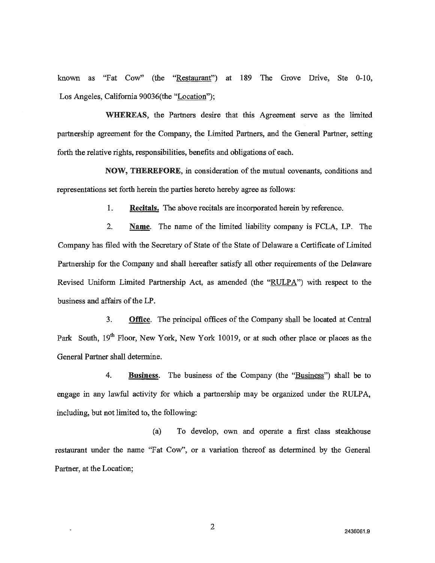known as "Fat Cow" (the "Restaurant") at 189 The Grove Drive, Ste 0-10, Los Angeles, California 90036(the "Location");

WHEREAS, the Partners desire that this Agreement serve as the limited partnership agreement for the Company, the Limited Partners, and the General Partner, setting forth the relative rights, responsibilities, benefits and obligations of each.

**NOW, THEREFORE,** in consideration of the mutual covenants, conditions and representations set forth herein the parties hereto hereby agree as follows:

> 1. **Recitals.** The above recitals are incorporated herein by reference.

**2. Name.** The name of the limited liability company is FCLA, LP. The Company has filed with the Secretary of State of the State of Delaware a Certificate of Limited Partnership for the Company and shall hereafter satisfy all other requirements of the Delaware Revised Uniform Limited Partnership Act, as amended (the "RULPA") with respect to the business and affairs of the LP.

**3. Office.** The principal offices of the Company shall be located at Central Park South, 19<sup>th</sup> Floor, New York, New York 10019, or at such other place or places as the General Partner shall determine.

**4. Business.** The business of the Company (the "Business") shall be to engage in any lawful activity for which a partnership may be organized under the RULPA, including, but not limited to, the following:

(a) To develop, own and operate a first class steakhouse restaurant under the name "Fat Cow", or a variation thereof as determined by the General Partner, at the Location;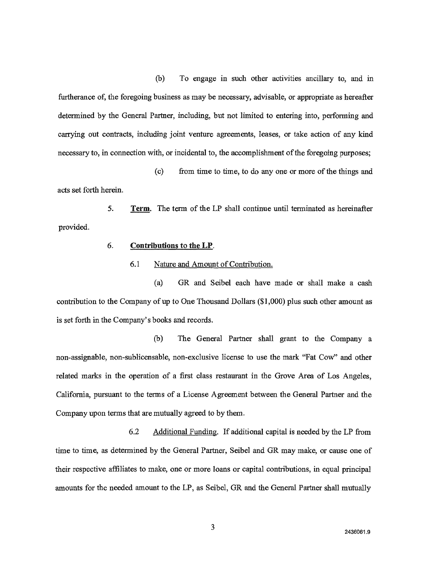(b) To engage in such other activities ancillary to, and in furtherance of, the foregoing business as may be necessary, advisable, or appropriate as hereafter determined by the General Partner, including, but not limited to entering into, performing and carrying out contracts, including joint venture agreements, leases, or take action of any kind necessary to, in connection with, or incidental to, the accomplishment of the foregoing purposes;

(c) from time to time, to do any one or more of the things and acts set forth herein.

**5. Term.** The term of the LP shall continue until terminated as hereinafter provided.

## **6. Contributions to the LP.**

# 6.1 Nature and Amount of Contribution.

(a) GR and Seibel each have made or shall make a cash contribution to the Company of up to One Thousand Dollars (\$1,000) plus such other amount as is set forth in the Company's books and records.

(b) The General Partner shall grant to the Company a non-assignable, non-sublicensable, non-exclusive license to use the mark "Fat Cow" and other related marks in the operation of a first class restaurant in the Grove Area of Los Angeles, California, pursuant to the terms of a License Agreement between the General Partner and the Company upon terms that are mutually agreed to by them.

6.2 Additional Funding. If additional capital is needed by the LP from time to time, as determined by the General Partner, Seibel and GR may make, or cause one of their respective affiliates to make, one or more loans or capital contributions, in equal principal amounts for the needed amount to the LP, as Seibel, GR and the General Partner shall mutually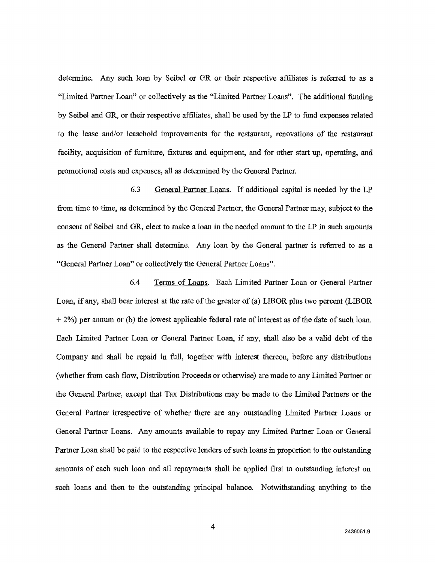determine. Any such loan by Seibel or GR or their respective affiliates is referred to as a "Limited Partner Loan" or collectively as the "Limited Partner Loans". The additional funding by Seibel and GR, or their respective affiliates, shall be used by the LP to fund expenses related to the lease and/or leasehold improvements for the restaurant, renovations of the restaurant facility, acquisition of furniture, fixtures and equipment, and for other start up, operating, and promotional costs and expenses, all as determined by the General Partner.

6.3 General Partner Loans. If additional capital is needed by the LP from time to time, as determined by the General Partner, the General Partner may, subject to the consent of Seibel and GR, elect to make a loan in the needed amount to the LP in such amounts as the General Partner shall determine. Any loan by the General partner is referred to as a "General Partner Loan" or collectively the General Partner Loans".

6.4 Terms of Loans. Each Limited Partner Loan or General Partner Loan, if any, shall bear interest at the rate of the greater of (a) LIBOR plus two percent (LIBOR + 2%) per annum or (b) the lowest applicable federal rate of interest as of the date of such loan. Each Limited Partner Loan or General Partner Loan, if any, shall also be a valid debt of the Company and shall be repaid in full, together with interest thereon, before any distributions (whether from cash flow, Distribution Proceeds or otherwise) are made to any Limited Partner or the General Partner, except that Tax Distributions may be made to the Limited Partners or the General Partner irrespective of whether there are any outstanding Limited Partner Loans or General Partner Loans. Any amounts available to repay any Limited Partner Loan or General Partner Loan shall be paid to the respective lenders of such loans in proportion to the outstanding amounts of each such loan and all repayments shall be applied first to outstanding interest on such loans and then to the outstanding principal balance. Notwithstanding anything to the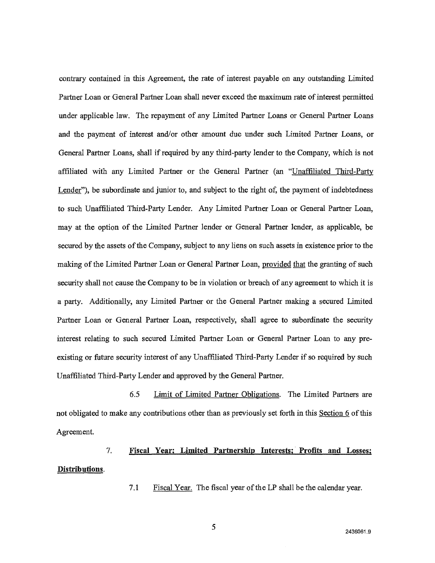contrary contained in this Agreement, the rate of interest payable on any outstanding Limited Partner Loan or General Partner Loan shall never exceed the maximum rate of interest permitted under applicable law. The repayment of any Limited Partner Loans or General Partner Loans and the payment of interest and/or other amount due under such Limited Partner Loans, or General Partner Loans, shall if required by any third-party lender to the Company, which is not affiliated with any Limited Partner or the General Partner (an "Unaffiliated Third-Party Lender"), be subordinate and junior to, and subject to the right of, the payment of indebtedness to such Unaffiliated Third-Party Lender. Any Limited Partner Loan or General Partner Loan, may at the option of the Limited Partner lender or General Partner lender, as applicable, be secured by the assets of the Company, subject to any liens on such assets in existence prior to the making of the Limited Partner Loan or General Partner Loan, provided that the granting of such security shall not cause the Company to be in violation or breach of any agreement to which it is a party. Additionally, any Limited Partner or the General Partner making a secured Limited Partner Loan or General Partner Loan, respectively, shall agree to subordinate the security interest relating to such secured Limited Partner Loan or General Partner Loan to any preexisting or future security interest of any Unaffiliated Third-Party Lender if so required by such Unaffiliated Third-Party Lender and approved by the General Partner.

6.5 Limit of Limited Partner Obligations. The Limited Partners are not obligated to make any contributions other than as previously set forth in this Section 6 of this Agreement.

# 7. **Fiscal Year Limited Partnership Interests; Profits and Losses; Distributions.**

7.1 Fiscal Year. The fiscal year of the LP shall be the calendar year.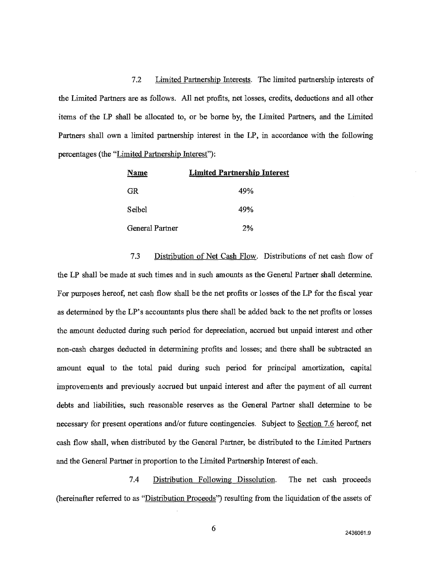7.2 Limited Partnership Interests. The limited partnership interests of the Limited Partners are as follows. All net profits, net losses, credits, deductions and all other items of the LP shall be allocated to, or be borne by, the Limited Partners, and the Limited Partners shall own a limited partnership interest in the LP, in accordance with the following percentages (the "Limited Partnership Interest"):

| Name            | <b>Limited Partnership Interest</b> |
|-----------------|-------------------------------------|
| GR.             | 49%                                 |
| Seihel          | 49%                                 |
| General Partner | 2%                                  |

7.3 Distribution of Net Cash Flow. Distributions of net cash flow of the LP shall be made at such times and in such amounts as the General Partner shall determine. For purposes hereof, net cash flow shall be the net profits or losses of the LP for the fiscal year as determined by the LP's accountants plus there shall be added back to the net profits or losses the amount deducted during such period for depreciation, accrued but unpaid interest and other non-cash charges deducted in determining profits and losses; and there shall be subtracted an amount equal to the total paid during such period for principal amortization, capital improvements and previously accrued but unpaid interest and after the payment of all current debts and liabilities, such reasonable reserves as the General Partner shall determine to be necessary for present operations and/or future contingencies. Subject to Section 7.6 hereof, net cash flow shall, when distributed by the General Partner, be distributed to the Limited Partners and the General Partner in proportion to the Limited Partnership Interest of each.

7.4 Distribution Following Dissolution. The net cash proceeds (hereinafter referred to as "Distribution Proceeds") resulting from the liquidation of the assets of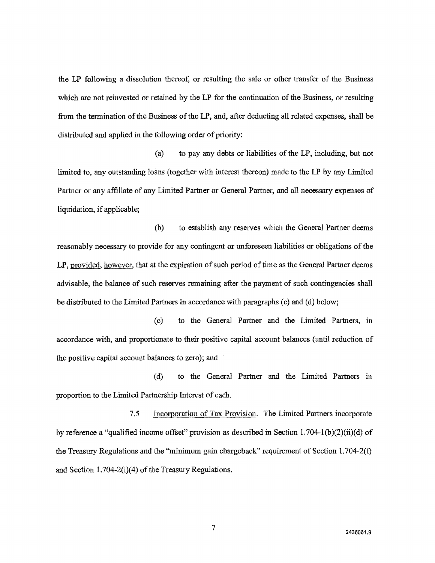the LP following a dissolution thereof, or resulting the sale or other transfer of the Business which are not reinvested or retained by the LP for the continuation of the Business, or resulting from the termination of the Business of the LP, and, after deducting all related expenses, shall be distributed and applied in the following order of priority:

(a) to pay any debts or liabilities of the LP, including, but not limited to, any outstanding loans (together with interest thereon) made to the LP by any Limited Partner or any affiliate of any Limited Partner or General Partner, and all necessary expenses of liquidation, if applicable;

(b) to establish any reserves which the General Partner deems reasonably necessary to provide for any contingent or unforeseen liabilities or obligations of the LP, provided, however, that at the expiration of such period of time as the General Partner deems advisable, the balance of such reserves remaining after the payment of such contingencies shall be distributed to the Limited Partners in accordance with paragraphs (c) and (d) below;

(c) to the General Partner and the Limited Partners, in accordance with, and proportionate to their positive capital account balances (until reduction of the positive capital account balances to zero); and

(d) to the General Partner and the Limited Partners in proportion to the Limited Partnership Interest of each.

7.5 Incorporation of Tax Provision. The Limited Partners incorporate by reference a "qualified income offset" provision as described in Section I.704-1(b)(2)(ii)(d) of the Treasury Regulations and the "minimum gain chargeback" requirement of Section 1.704-2(f) and Section 1.704-2(i)(4) of the Treasury Regulations.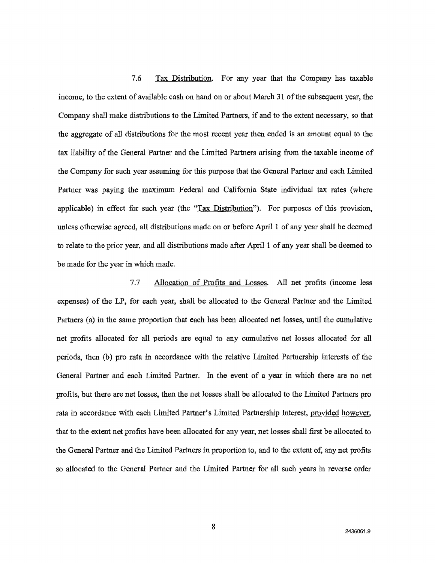7.6 Tax Distribution. For any year that the Company has taxable income, to the extent of available cash on hand on or about March 31 of the subsequent year, the Company shall make distributions to the Limited Partners, if and to the extent necessary, so that the aggregate of all distributions for the most recent year then ended is an amount equal to the tax liability of the General Partner and the Limited Partners arising from the taxable income of the Company for such year assuming for this purpose that the General Partner and each Limited Partner was paying the maximum Federal and California State individual tax rates (where applicable) in effect for such year (the "Tax Distribution"). For purposes of this provision, unless otherwise agreed, all distributions made on or before April 1 of any year shall be deemed to relate to the prior year, and all distributions made after April 1 of any year shall be deemed to be made for the year in which made.

7.7 Allocation of Profits and Losses. All net profits (income less expenses) of the LP, for each year, shall be allocated to the General Partner and the Limited Partners (a) in the same proportion that each has been allocated net losses, until the cumulative net profits allocated for all periods are equal to any cumulative net losses allocated for all periods, then (b) pro rata in accordance with the relative Limited Partnership Interests of the General Partner and each Limited Partner. In the event of a year in which there are no net profits, but there are net losses, then the net losses shall be allocated to the Limited Partners pro rata in accordance with each Limited Partner's Limited Partnership Interest, provided however, that to the extent net profits have been allocated for any year, net losses shall first be allocated to the General Partner and the Limited Partners in proportion to, and to the extent of, any net profits so allocated to the General Partner and the Limited Partner for all such years in reverse order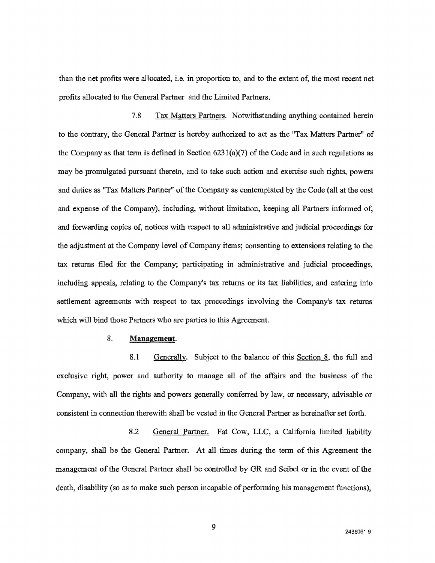than the net profits were allocated, i.e. in proportion to, and to the extent of, the most recent net profits allocated to the General Partner and the Limited Partners.

7.8 Tax Matters Partners. Notwithstanding anything contained herein to the contrary, the General Partner is hereby authorized to act as the "Tax Matters Partner" of the Company as that term is defined in Section 6231(a)(7) of the Code and in such regulations as may be promulgated pursuant thereto, and to take such action and exercise such rights, powers and duties as "Tax Matters Partner" of the Company as contemplated by the Code (all at the cost and expense of the Company), including, without limitation, keeping all Partners informed of, and forwarding copies of, notices with respect to all administrative and judicial proceedings for the adjustment at the Company level of Company items; consenting to extensions relating to the tax returns filed for the Company; participating in administrative and judicial proceedings, including appeals, relating to the Company's tax returns or its tax liabilities; and entering into settlement agreements with respect to tax proceedings involving the Company's tax returns which will bind those Partners who are parties to this Agreement.

### 8. **Management.**

8.1 Generally. Subject to the balance of this Section 8, the full and exclusive right, power and authority to manage all of the affairs and the business of the Company, with all the rights and powers generally conferred by law, or necessary, advisable or consistent in connection therewith shall be vested in the General Partner as hereinafter set forth.

8.2 General Partner. Fat Cow, LLC, a California limited liability company, shall be the General Partner. At all times during the term of this Agreement the management of the General Partner shall be controlled by GR and Seibel or in the event of the death, disability (so as to make such person incapable of performing his management functions),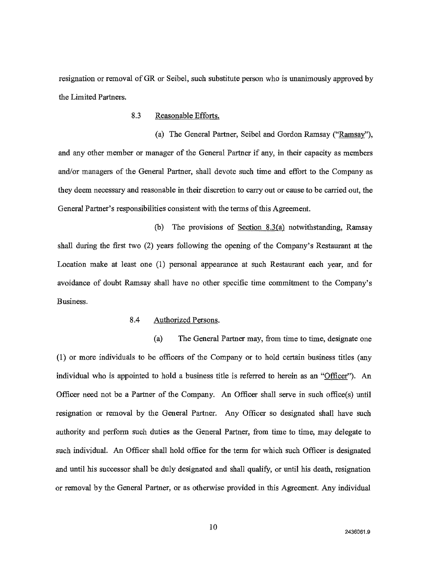resignation or removal of GR or Seibel, such substitute person who is unanimously approved by the Limited Partners.

## 8.3 Reasonable Efforts.

(a) The General Partner, Seibel and Gordon Ramsay ("Ramsay"), and any other member or manager of the General Partner if any, in their capacity as members and/or managers of the General Partner, shall devote such time and effort to the Company as they deem necessary and reasonable in their discretion to carry out or cause to be carried out, the General Partner's responsibilities consistent with the terms of this Agreement.

(b) The provisions of Section 8.3(a) notwithstanding, Ramsay shall during the first two (2) years following the opening of the Company's Restaurant at the Location make at least one (1) personal appearance at such Restaurant each year, and for avoidance of doubt Ramsay shall have no other specific time commitment to the Company's Business.

#### 8.4 Authorized Persons.

(a) The General Partner may, from time to time, designate one (1) or more individuals to be officers of the Company or to hold certain business titles (any individual who is appointed to hold a business title is referred to herein as an "Officer"). An Officer need not be a Partner of the Company. An Officer shall serve in such office(s) until resignation or removal by the General Partner. Any Officer so designated shall have such authority and perform such duties as the General Partner, from time to time, may delegate to such individual. An Officer shall hold office for the term for which such Officer is designated and until his successor shall be duly designated and shall qualify, or until his death, resignation or removal by the General Partner, or as otherwise provided in this Agreement. Any individual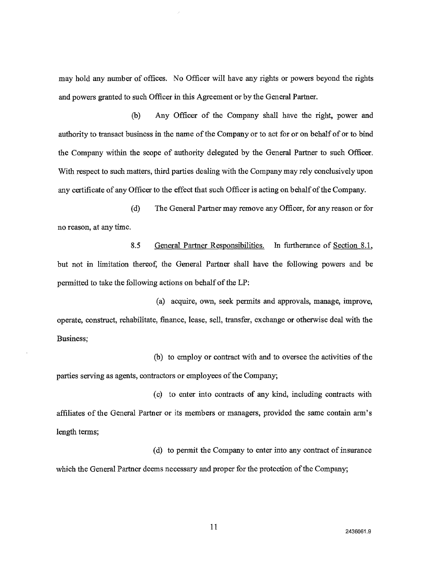may hold any number of offices. No Officer will have any rights or powers beyond the rights and powers granted to such Officer in this Agreement or by the General Partner.

(b) Any Officer of the Company shall have the fight, power and authority to transact business in the name of the Company or to act for or on behalf of or to bind the Company within the scope of authority delegated by the General Partner to such Officer. With respect to such matters, third parties dealing with the Company may rely conclusively upon any certificate of any Officer to the effect that such Officer is acting on behalf of the Company.

(d) The General Partner may remove any Officer, for any reason or for no reason, at any time.

8.5 General Partner Responsibilities. In furtherance of Section 8.1, but not in limitation thereof, the General Partner shall have the following powers and be permitted to take the following actions on behalf of the LP:

(a) acquire, own, seek permits and approvals, manage, improve, operate, construct, rehabilitate, finance, lease, sell, transfer, exchange or otherwise deal with the Business;

(b) to employ or contract with and to oversee the activities of the parties serving as agents, contractors or employees of the Company;

(c) to enter into contracts of any kind, including contracts with affiliates of the General Partner or its members or managers, provided the same contain arm's length terms;

(d) to permit the Company to enter into any contract of insurance which the General Partner deems necessary and proper for the protection of the Company;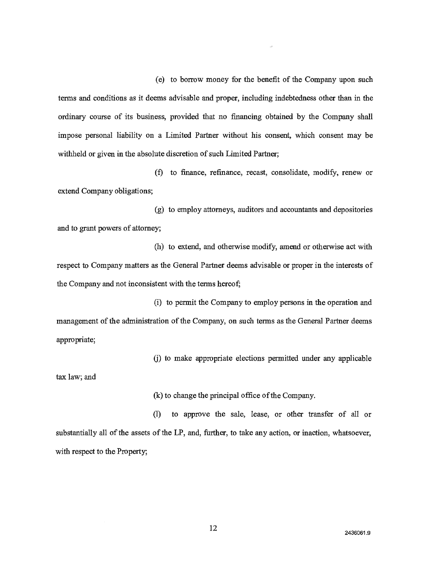(e) to borrow money for the benefit of the Company upon such terms and conditions as it deems advisable and proper, including indebtedness other than in the ordinary course of its business, provided that no financing obtained by the Company shall impose personal liability on a Limited Partner without his consent, which consent may be withheld or given in the absolute discretion of such Limited Partner;

(f) to finance, refinance, recast, consolidate, modify, renew or extend Company obligations;

(g) to employ attorneys, auditors and accountants and depositories and to grant powers of attorney;

(h) to extend, and otherwise modify, amend or otherwise act with respect to Company matters as the General Partner deems advisable or proper in the interests of the Company and not inconsistent with the terms hereof;

(i) to permit the Company to employ persons in the operation and management of the administration of the Company, on such terms as the General Partner deems appropriate;

(j) to make appropriate elections permitted under any applicable

tax law; and

(k) to change the principal office of the Company.

(1) to approve the sale, lease, or other transfer of all or substantially all of the assets of the LP, and, further, to take any action, or inaction, whatsoever, with respect to the Property;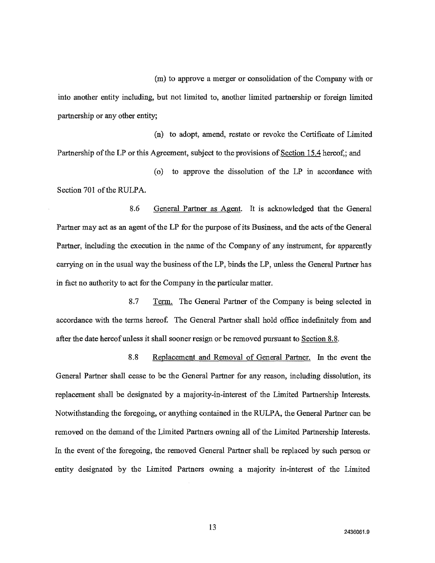(m) to approve a merger or consolidation of the Company with or into another entity including, but not limited to, another limited partnership or foreign limited partnership or any other entity;

(n) to adopt, amend, restate or revoke the Certificate of Limited Partnership of the LP or this Agreement, subject to the provisions of Section 15.4 hereof,; and

(o) to approve the dissolution of the LP in accordance with Section 701 of the RULPA.

8.6 General Partner as Agent. It is acknowledged that the General Partner may act as an agent of the LP for the purpose of its Business, and the acts of the General Partner, including the execution in the name of the Company of any instrument, for apparently carrying on in the usual way the business of the LP, binds the LP, unless the General Partner has in fact no authority to act for the Company in the particular matter.

8.7 Term. The General Partner of the Company is being selected in accordance with the terms hereof. The General Partner shall hold office indefinitely from and after the date hereof unless it shall sooner resign or be removed pursuant to Section 8.8.

8.8 Replacement and Removal of General Partner. In the event the General Partner shall cease to be the General Partner for any reason, including dissolution, its replacement shall be designated by a majority-in-interest of the Limited Partnership Interests. Notwithstanding the foregoing, or anything contained in the RULPA, the General Partner can be removed on the demand of the Limited Partners owning all of the Limited Partnership Interests. In the event of the foregoing, the removed General Partner shall be replaced by such person or entity designated by the Limited Partners owning a majority in-interest of the Limited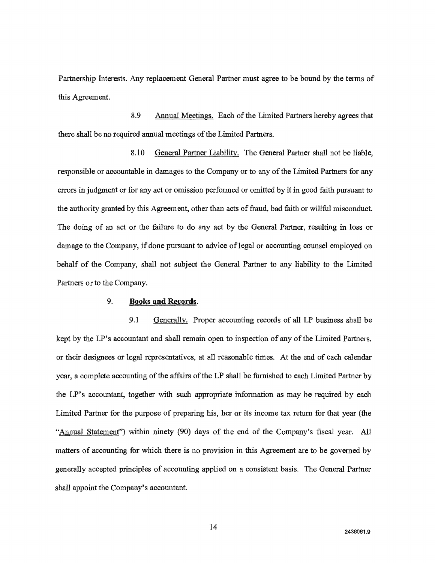Partnership Interests. Any replacement General Partner must agree to be bound by the terms of this Agreement.

8.9 Annual Meetings. Each of the Limited Partners hereby agrees that there shall be no required annual meetings of the Limited Partners.

8.10 General Partner Liability. The General Partner shall not be liable, responsible or accountable in damages to the Company or to any of the Limited Partners for any errors in judgment or for any act or omission performed or omitted by it in good faith pursuant to the authority granted by this Agreement, other than acts of fraud, bad faith or willful misconduct. The doing of an act or the failure to do any act by the General Partner, resulting in loss or damage to the Company, if done pursuant to advice of legal or accounting counsel employed on behalf of the Company, shall not subject the General Partner to any liability to the Limited Partners or to the Company.

# 9. **Books and Records.**

9.1 Generally. Proper accounting records of all LP business shall be kept by the LP's accountant and shall remain open to inspection of any of the Limited Partners, or their designees or legal representatives, at all reasonable times. At the end of each calendar year, a complete accounting of the affairs of the LP shall be furnished to each Limited Partner by the LP's accountant, together with such appropriate information as may be required by each Limited Partner for the purpose of preparing his, her or its income tax return for that year (the "Annual Statement") within ninety (90) days of the end of the Company's fiscal year. All matters of accounting for which there is no provision in this Agreement are to be governed by generally accepted principles of accounting applied on a consistent basis. The General Partner shall appoint the Company's accountant.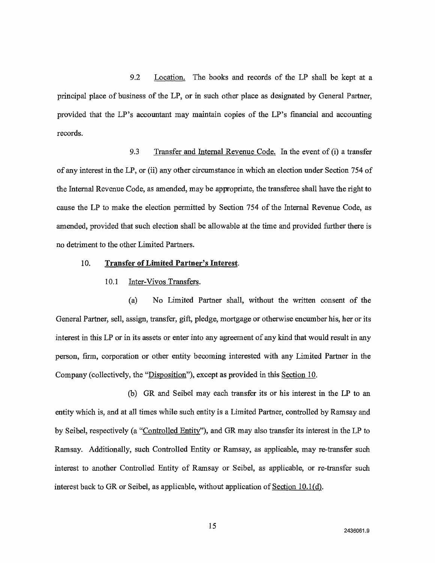9.2 Location. The books and records of the LP shall be kept at a principal place of business of the LP, or in such other place as designated by General Partner, provided that the LP's accountant may maintain copies of the LP's financial and accounting records.

9.3 Transfer and Internal Revenue Code. In the event of (i) a transfer of any interest in the LP, or (ii) any other circumstance in which an election under Section 754 of the Internal Revenue Code, as amended, may be appropriate, the transferee shall have the right to cause the LP to make the election permitted by Section 754 of the Internal Revenue Code, as amended, provided that such election shall be allowable at the time and provided further there is no detriment to the other Limited Partners.

#### 10. **Transfer of Limited Partner's Interest,**

#### 10.1 Inter-Vivos Transfers.

(a) No Limited Partner shall, without the written consent of the General Partner, sell, assign, transfer, gift, pledge, mortgage or otherwise encumber his, her or its interest in this LP or in its assets or enter into any agreement of any kind that would result in any person, firm, corporation or other entity becoming interested with any Limited Partner in the Company (collectively, the "Disposition"), except as provided in this Section 10.

(b) GR and Seibel may each transfer its or his interest in the LP to an entity which is, and at all times while such entity is a Limited Partner, controlled by Ramsay and by Seibel, respectively (a "Controlled Entity"), and GR may also transfer its interest in the LP to Ramsay. Additionally, such Controlled Entity or Ramsay, as applicable, may re-transfer such interest to another Controlled Entity of Ramsay or Seibel, as applicable, or re-transfer such interest back to OR or Seibel, as applicable, without application of Section 10.1(d).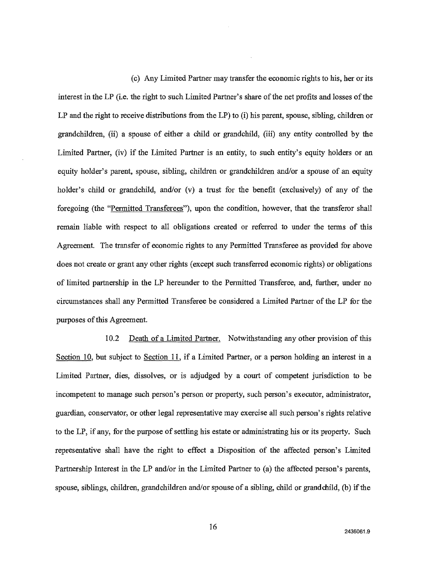(c) Any Limited Partner may transfer the economic rights to his, her or its interest in the LP (i.e. the right to such Limited Partner's share of the net profits and losses of the LP and the right to receive distributions from the LP) to (i) his parent, spouse, sibling, children or grandchildren, (ii) a spouse of either a child or grandchild, (iii) any entity controlled by the Limited Partner, (iv) if the Limited Partner is an entity, to such entity's equity holders or an equity holder's parent, spouse, sibling, children or grandchildren and/or a spouse of an equity holder's child or grandchild, and/or (v) a trust for the benefit (exclusively) of any of the foregoing (the "Permitted Transferees"), upon the condition, however, that the transferor shall remain liable with respect to all obligations created or referred to under the terms of this Agreement. The transfer of economic rights to any Permitted Transferee as provided for above does not create or grant any other rights (except such transferred economic rights) or obligations of limited partnership in the LP hereunder to the Permitted Transferee, and, further, under no circumstances shall any Permitted Transferee be considered a Limited Partner of the LP for the purposes of this Agreement.

10.2 Death of a Limited Partner. Notwithstanding any other provision of this Section 10, but subject to Section 11, if a Limited Partner, or a person holding an interest in a Limited Partner, dies, dissolves, or is adjudged by a court of competent jurisdiction to be incompetent to manage such person's person or property, such person's executor, administrator, guardian, conservator, or other legal representative may exercise all such person's rights relative to the LP, if any, for the purpose of settling his estate or administrating his or its property. Such representative shall have the right to effect a Disposition of the affected person's Limited Partnership Interest in the LP and/or in the Limited Partner to (a) the affected person's parents, spouse, siblings, children, grandchildren and/or spouse of a sibling, child or grandchild, (b) if the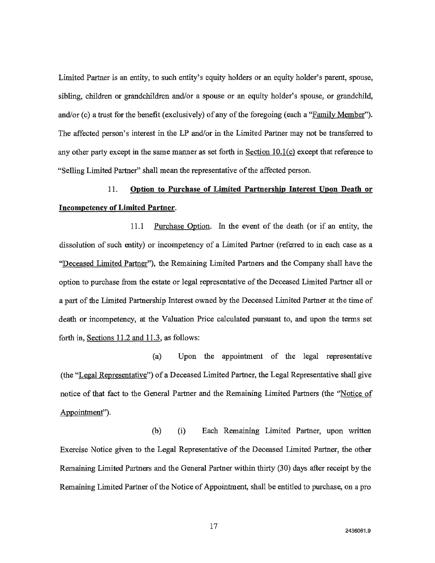Limited Partner is an entity, to such entity's equity holders or an equity holder's parent, spouse, sibling, children or grandchildren and/or a spouse or an equity holder's spouse, or grandchild, and/or (c) a trust for the benefit (exclusively) of any of the foregoing (each a "Family Member"). The affected person's interest in the LP and/or in the Limited Partner may not be transferred to any other party except in the same manner as set forth in Section 10.1(c) except that reference to "Selling Limited Partner" shall mean the representative of the affected person.

# **11. Option to Purchase of Limited Partnership Interest Upon Death or Incompetency of Limited Partner.**

11.1 Purchase Option. In the event of the death (or if an entity, the dissolution of such entity) or incompetency of a Limited Partner (referred to in each case as a "Deceased Limited Partner"), the Remaining Limited Partners and the Company shall have the option to purchase from the estate or legal representative of the Deceased Limited Partner all or a part of the Limited Partnership Interest owned by the Deceased Limited Partner at the time of death or incompetency, at the Valuation Price calculated pursuant to, and upon the terms set forth in, Sections 11.2 and **11.3,** as follows:

(a) Upon the appointment of the legal representative (the "Legal Representative") of a Deceased Limited Partner, the Legal Representative shall give notice of that fact to the General Partner and the Remaining Limited Partners (the "Notice of Appointment").

(b) (i) Each Remaining Limited Partner, upon written Exercise Notice given to the Legal Representative of the Deceased Limited Partner, the other Remaining Limited Partners and the General Partner within thirty (30) days after receipt by the Remaining Limited Partner of the Notice of Appointment, shall be entitled to purchase, on a pro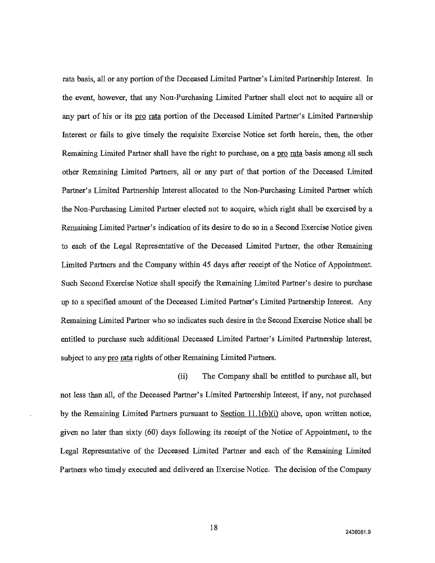rata basis, all or any portion of the Deceased Limited Partner's Limited Partnership Interest. In the event, however, that any Non-Purchasing Limited Partner shall elect not to acquire all or any part of his or its pro rata portion of the Deceased Limited Partner's Limited Partnership Interest or fails to give timely the requisite Exercise Notice set forth herein, then, the other Remaining Limited Partner shall have the right to purchase, on a pro rata basis among all such other Remaining Limited Partners, all or any part of that portion of the Deceased Limited Partner's Limited Partnership Interest allocated to the Non-Purchasing Limited Partner which the Non-Purchasing Limited Partner elected not to acquire, which right shall be exercised by a Remaining Limited Partner's indication of its desire to do so in a Second Exercise Notice given to each of the Legal Representative of the Deceased Limited Partner, the other Remaining Limited Partners and the Company within 45 days after receipt of the Notice of Appointment. Such Second Exercise Notice shall specify the Remaining Limited Partner's desire to purchase up to a specified amount of the Deceased Limited Partner's Limited Partnership Interest. Any Remaining Limited Partner who so indicates such desire in the Second Exercise Notice shall be entitled to purchase such additional Deceased Limited Partner's Limited Partnership Interest, subject to any pro rata rights of other Remaining Limited Partners.

(ii) The Company shall be entitled to purchase all, but not less than all, of the Deceased Partner's Limited Partnership Interest, if any, not purchased by the Remaining Limited Partners pursuant to Section  $11.1(b)(i)$  above, upon written notice, given no later than sixty (60) days following its receipt of the Notice of Appointment, to the Legal Representative of the Deceased Limited Partner and each of the Remaining Limited Partners who timely executed and delivered an Exercise Notice. The decision of the Company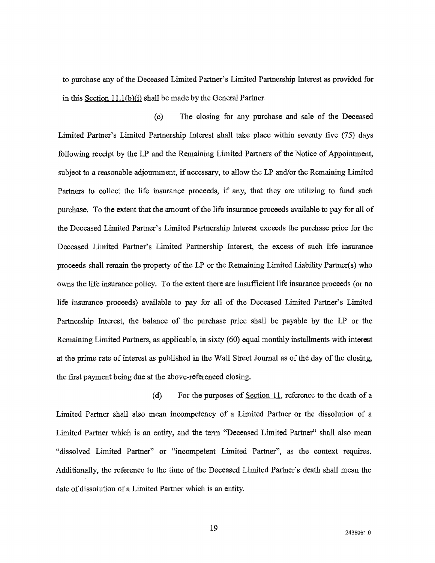to purchase any of the Deceased Limited Partner's Limited Partnership Interest as provided for in this Section 11.1(b)(i) shall be made by the General Partner.

(c) The closing for any purchase and sale of the Deceased Limited Partner's Limited Partnership Interest shall take place within seventy five (75) days following receipt by the LP and the Remaining Limited Partners of the Notice of Appointment, subject to a reasonable adjournment, if necessary, to allow the LP and/or the Remaining Limited Partners to collect the life insurance proceeds, if any, that they are utilizing to fund such purchase. To the extent that the amount of the life insurance proceeds available to pay for all of the Deceased Limited Partner's Limited Partnership Interest exceeds the purchase price for the Deceased Limited Partner's Limited Partnership Interest, the excess of such life insurance proceeds shall remain the property of the LP or the Remaining Limited Liability Partner(s) who owns the life insurance policy. To the extent there are insufficient life insurance proceeds (or no life insurance proceeds) available to pay for all of the Deceased Limited Partner's Limited Partnership Interest, the balance of the purchase price shall be payable by the LP or the Remaining Limited Partners, as applicable, in sixty (60) equal monthly installments with interest at the prime rate of interest as published in the Wall Street Journal as of the day of the closing, the first payment being due at the above-referenced closing.

(d) For the purposes of <u>Section 11</u>, reference to the death of a Limited Partner shall also mean incompetency of a Limited Partner or the dissolution of a Limited Partner which is an entity, and the term "Deceased Limited Partner" shall also mean "dissolved Limited Partner" or "incompetent Limited Partner", as the context requires. Additionally, the reference to the time of the Deceased Limited Partner's death shall mean the date of dissolution of a Limited Partner which is an entity.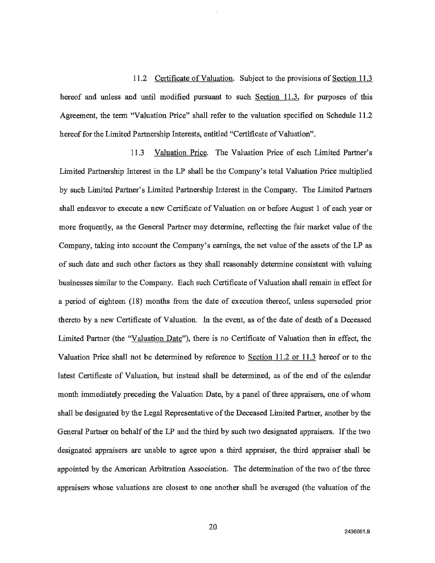11.2 Certificate of Valuation. Subject to the provisions of Section 11.3 hereof and unless and until modified pursuant to such Section 11.3, for purposes of this Agreement, the term "Valuation Price" shall refer to the valuation specified on Schedule 11.2 hereof for the Limited Partnership Interests, entitled "Certificate of Valuation".

11.3 Valuation Price. The Valuation Price of each Limited Partner's Limited Partnership Interest in the LP shall be the Company's total Valuation Price multiplied by such Limited Partner's Limited Partnership Interest in the Company. The Limited Partners shall endeavor to execute a new Certificate of Valuation on or before August 1 of each year or more frequently, as the General Partner may determine, reflecting the fair market value of the Company, taking into account the Company's earnings, the net value of the assets of the LP as of such date and such other factors as they shall reasonably determine consistent with valuing businesses similar to the Company. Each such Certificate of Valuation shall remain in effect for a period of eighteen (18) months from the date of execution thereof, unless superseded prior thereto by a new Certificate of Valuation. In the event, as of the date of death of a Deceased Limited Partner (the "Valuation Date"), there is no Certificate of Valuation then in effect, the Valuation Price shall not be determined by reference to Section 11.2 or 11.3 hereof or to the latest Certificate of Valuation, but instead shall be determined, as of the end of the calendar month immediately preceding the Valuation Date, by a panel of three appraisers, one of whom shall be designated by the Legal Representative of the Deceased Limited Partner, another by the General Partner on behalf of the LP and the third by such two designated appraisers. If the two designated appraisers are unable to agree upon a third appraiser, the third appraiser shall be appointed by the American Arbitration Association. The determination of the two of the three appraisers whose valuations are closest to one another shall be averaged (the valuation of the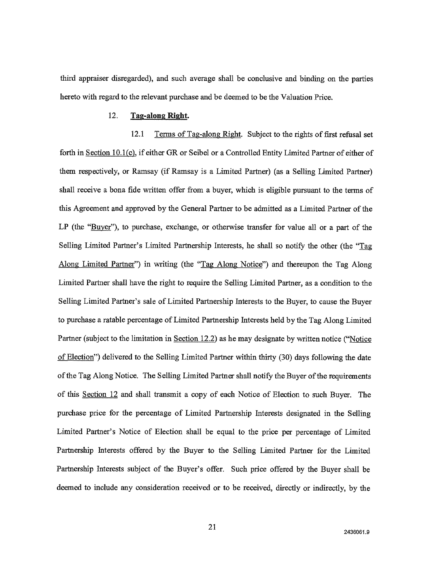third appraiser disregarded), and such average shall be conclusive and binding on the parties hereto with regard to the relevant purchase and be deemed to be the Valuation Price.

#### 12. **Tag-along Right.**

12.1 Terms of Tag-along Right. Subject to the rights of first refusal set forth in Section 10.1(c), if either OR or Seibel or a Controlled Entity Limited Partner of either of them respectively, or Ramsay (if Ramsay is a Limited Partner) (as a Selling Limited Partner) shall receive a bona fide written offer from a buyer, which is eligible pursuant to the terms of this Agreement and approved by the General Partner to be admitted as a Limited Partner of the LP (the "Buyer"), to purchase, exchange, or otherwise transfer for value all or a part of the Selling Limited Partner's Limited Partnership Interests, he shall so notify the other (the "Tag Along Limited Partner") in writing (the "Tag Along Notice") and thereupon the Tag Along Limited Partner shall have the right to require the Selling Limited Partner, as a condition to the Selling Limited Partner's sale of Limited Partnership Interests to the Buyer, to cause the Buyer to purchase a ratable percentage of Limited Partnership Interests held by the Tag Along Limited Partner (subject to the limitation in Section 12.2) as he may designate by written notice ("Notice" of Election") delivered to the Selling Limited Partner within thirty (30) days following the date of the Tag Along Notice. The Selling Limited Partner shall notify the Buyer of the requirements of this Section 12 and shall transmit a copy of each Notice of Election to such Buyer. The purchase price for the percentage of Limited Partnership Interests designated in the Selling Limited Partner's Notice of Election shall be equal to the price per percentage of Limited Partnership Interests offered by the Buyer to the Selling Limited Partner for the Limited Partnership Interests subject of the Buyer's offer. Such price offered by the Buyer shall be deemed to include any consideration received or to be received, directly or indirectly, by the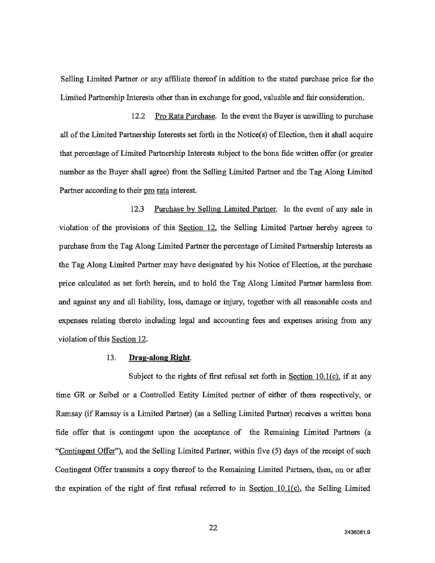Selling Limited Partner or any affiliate thereof in addition to the stated purchase price for the Limited Partnership Interests other than in exchange for good, valuable and fair consideration.

12.2 Pro Rata Purchase. In the event the Buyer is unwilling to purchase all of the Limited Partnership Interests set forth in the Notice(s) of Election, then it shall acquire that percentage of Limited Partnership Interests subject to the bona fide written offer (or greater number as the Buyer shall agree) from the Selling Limited Partner and the Tag Along Limited Partner according to their pro rata interest.

12.3 Purchase by Selling Limited Partner. In the event of any sale in violation of the provisions of this Section 12, the Selling Limited Partner hereby agrees to purchase from the Tag Along Limited Partner the percentage of Limited Partnership Interests as the Tag Along Limited Partner may have designated by his Notice of Election, at the purchase price calculated as set forth herein, and to hold the Tag Along Limited Partner harmless from and against any and all liability, loss, damage or injury, together with all reasonable costs and expenses relating thereto including legal and accounting fees and expenses arising from any violation of this Section 12.

#### 13. **Drag-along Right.**

Subject to the rights of first refusal set forth in Section 10.1(c), if at any time GR or Seibel or a Controlled Entity Limited partner of either of them respectively, or Ramsay (if Ramsay is a Limited Partner) (as a Selling Limited Partner) receives a written bona fide offer that is contingent upon the acceptance of the Remaining Limited Partners (a "Contingent Offer"), and the Selling Limited Partner, within five (5) days of the receipt of such Contingent Offer transmits a copy thereof to the Remaining Limited Partners, then, on or after the expiration of the right of first refusal referred to in Section  $10.1(c)$ , the Selling Limited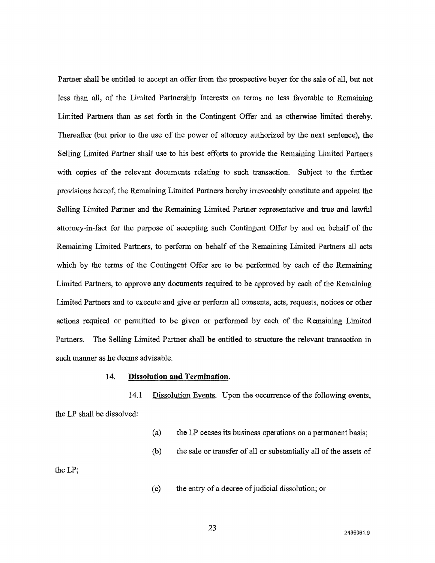Partner shall be entitled to accept an offer from the prospective buyer for the sale of all, but not less than all, of the Limited Partnership Interests on terms no less favorable to Remaining Limited Partners than as set forth in the Contingent Offer and as otherwise limited thereby. Thereafter (but prior to the use of the power of attorney authorized by the next sentence), the Selling Limited Partner shall use to his best efforts to provide the Remaining Limited Partners with copies of the relevant documents relating to such transaction. Subject to the further provisions hereof, the Remaining Limited Partners hereby irrevocably constitute and appoint the Selling Limited Partner and the Remaining Limited Partner representative and true and lawful attorney-in-fact for the purpose of accepting such Contingent Offer by and on behalf of the Remaining Limited Partners, to perform on behalf of the Remaining Limited Partners all acts which by the terms of the Contingent Offer are to be performed by each of the Remaining Limited Partners, to approve any documents required to be approved by each of the Remaining Limited Partners and to execute and give or perform all consents, acts, requests, notices or other actions required or permitted to be given or performed by each of the Remaining Limited Partners. The Selling Limited Partner shall be entitled to structure the relevant transaction in such manner as he deems advisable.

#### 14. **Dissolution and Termination.**

14.1 Dissolution Events. Upon the occurrence of the following events, the LP shall be dissolved:

- (a) the LP ceases its business operations on a permanent basis;
- (b) the sale or transfer of all or substantially all of the assets of

the LP;

(c) the entry of a decree of judicial dissolution; or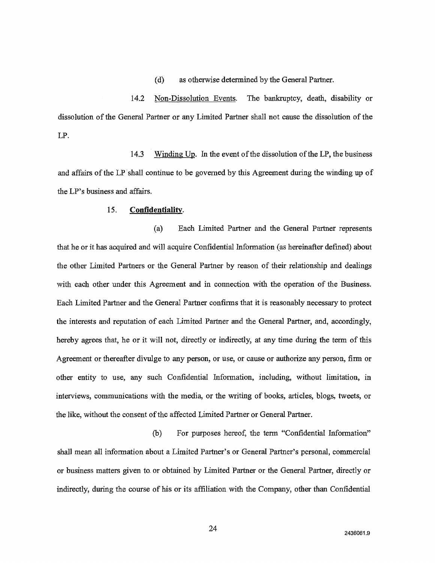(d) as otherwise determined by the General Partner.

14.2 Non-Dissolution Events. The bankruptcy, death, disability or dissolution of the General Partner or any Limited Partner shall not cause the dissolution of the LP.

14.3 Winding Up. In the event of the dissolution of the LP, the business and affairs of the LP shall continue to be governed by this Agreement during the winding up of the LP's business and affairs.

## 15. **Confidentiality.**

(a) Each Limited Partner and the General Partner represents that he or it has acquired and will acquire Confidential Information (as hereinafter defined) about the other Limited Partners or the General Partner by reason of their relationship and dealings with each other under this Agreement and in connection with the operation of the Business. Each Limited Partner and the General Partner confirms that it is reasonably necessary to protect the interests and reputation of each Limited Partner and the General Partner, and, accordingly, hereby agrees that, he or it will not, directly or indirectly, at any time during the term of this Agreement or thereafter divulge to any person, or use, or cause or authorize any person, firm or other entity to use, any such Confidential Information, including, without limitation, in interviews, communications with the media, or the writing of books, articles, blogs, tweets, or the like, without the consent of the affected Limited Partner or General Partner.

(b) For purposes hereof, the term "Confidential Information" shall mean all information about a Limited Partner's or General Partner's personal, commercial or business matters given to or obtained by Limited Partner or the General Partner, directly or indirectly, during the course of his or its affiliation with the Company, other than Confidential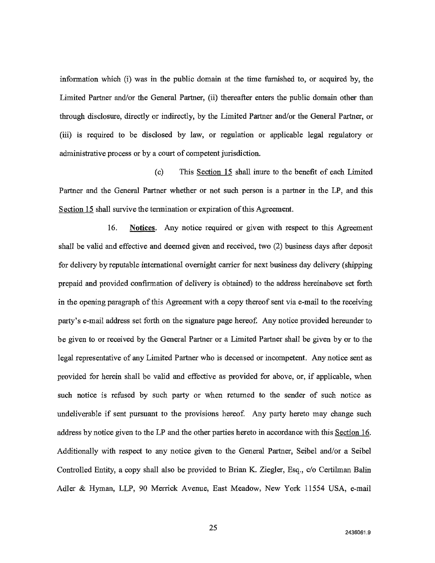information which (i) was in the public domain at the time furnished to, or acquired by, the Limited Partner and/or the General Partner, (ii) thereafter enters the public domain other than through disclosure, directly or indirectly, by the Limited Partner and/or the General Partner, or (iii) is required to be disclosed by law, or regulation or applicable legal regulatory or administrative process or by a court of competent jurisdiction.

(c) This Section 15 shall inure to the benefit of each Limited Partner and the General Partner whether or not such person is a partner in the LP, and this Section 15 shall survive the termination or expiration of this Agreement.

16. Notices.Any notice required or given with respect to this Agreement shall be valid and effective and deemed given and received, two (2) business days after deposit for delivery by reputable international overnight carrier for next business day delivery (shipping prepaid and provided confirmation of delivery is obtained) to the address hereinabove set forth in the opening paragraph of this Agreement with a copy thereof sent via e-mail to the receiving party's e-mail address set forth on the signature page hereof. Any notice provided hereunder to be given to or received by the General Partner or a Limited Partner shall be given by or to the legal representative of any Limited Partner who is deceased or incompetent. Any notice sent as provided for herein shall be valid and effective as provided for above, or, if applicable, when such notice is refused by such party or when returned to the sender of such notice as undeliverable if sent pursuant to the provisions hereof. Any party hereto may change such address by notice given to the LP and the other parties hereto in accordance with this Section 16. Additionally with respect to any notice given to the General Partner, Seibel and/or a Seibel Controlled Entity, a copy shall also be provided to Brian K. Ziegler, Esq., c/o Certilman Balin Adler & Hyman, LLP, 90 Merrick Avenue, East Meadow, New York 11554 USA, e-mail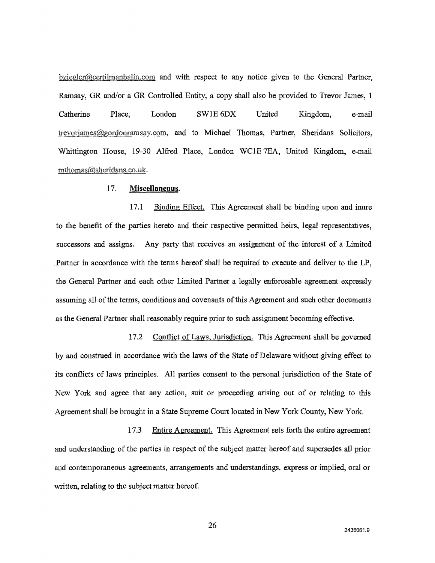$bziegler@certilmanbalin.com$  and with respect to any notice given to the General Partner, Ramsay, GR and/or a GR Controlled Entity, a copy shall also be provided to Trevor James, 1 Catherine **Place,** London SW1E 6DX United Kingdom, e-mail trevorjames@gordonramsay.com, and to Michael Thomas, Partner, Sheridans Solicitors, Whittington House, 19-30 Alfred Place, London WC1E 7EA, United Kingdom, e-mail rnthomas@sheridans.co.uk .

#### 17. **Miscellaneous.**

17.1 Binding Effect. This Agreement shall be binding upon and inure to the benefit of the parties hereto and their respective permitted heirs, legal representatives, successors and assigns. Any party that receives an assignment of the interest of a Limited Partner in accordance with the terms hereof shall be required to execute and deliver to the LP, the General Partner and each other Limited Partner a legally enforceable agreement expressly assuming all of the terms, conditions and covenants of this Agreement and such other documents as the General Partner shall reasonably require prior to such assignment becoming effective.

17.2 Conflict of Laws, Jurisdiction. This Agreement shall be governed by and construed in accordance with the laws of the State of Delaware without giving effect to its conflicts of laws principles. All parties consent to the personal jurisdiction of the State of New York and agree that any action, suit or proceeding arising out of or relating to this Agreement shall be brought in a State Supreme Court located in New York County, New York.

17.3 Entire Agreement. This Agreement sets forth the entire agreement and understanding of the parties in respect of the subject matter hereof and supersedes all prior and contemporaneous agreements, arrangements and understandings, express or implied, oral or written, relating to the subject matter hereof.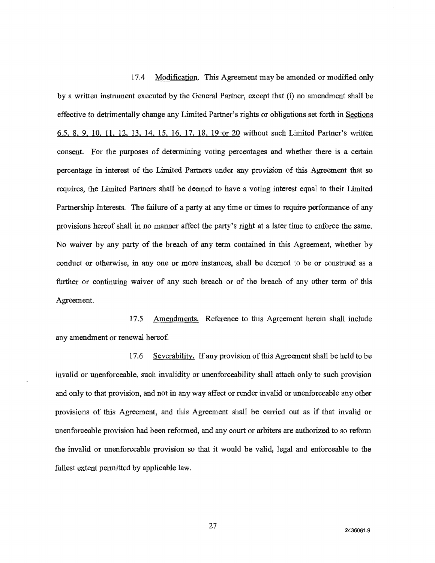17.4 Modification.This Agreement may be amended or modified only by a written instrument executed by the General Partner, except that (i) no amendment shall be effective to detrimentally change any Limited Partner's rights or obligations set forth in Sections 6.5, 8, 9, 10, 11, 12, 13, 14, 15, 16, 17, 18, 19 or 20 without such Limited Partner's written consent. For the purposes of determining voting percentages and whether there is a certain percentage in interest of the Limited Partners under any provision of this Agreement that so requires, the Limited Partners shall be deemed to have a voting interest equal to their Limited Partnership Interests. The failure of a party at any time or times to require performance of any provisions hereof shall in no manner affect the party's right at a later time to enforce the same. No waiver by any party of the breach of any term contained in this Agreement, whether by conduct or otherwise, in any one or more instances, shall be deemed to be or construed as a further or continuing waiver of any such breach or of the breach of any other term of this Agreement.

17.5 Amendments. Reference to this Agreement herein shall include any amendment or renewal hereof.

17.6 Severability. If any provision of this Agreement shall be held to be invalid or unenforceable, such invalidity or unenforceability shall attach only to such provision and only to that provision, and not in any way affect or render invalid or unenforceable any other provisions of this Agreement, and this Agreement shall be carried out as if that invalid or unenforceable provision had been reformed, and any court or arbiters are authorized to so reform the invalid or unenforceable provision so that it would be valid, legal and enforceable to the fullest extent permitted by applicable law.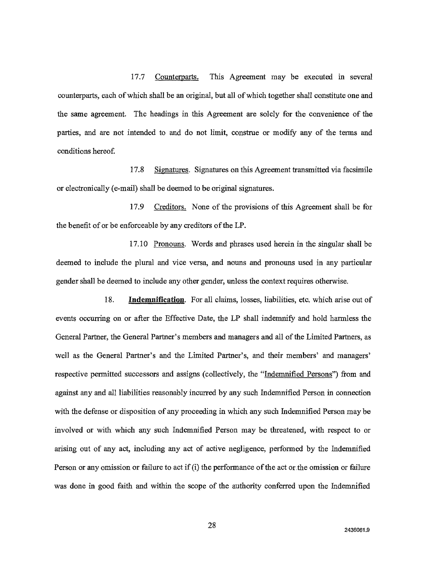17.7 Counterparts. This Agreement may be executed in several counterparts, each of which shall be an original, but all of which together shall constitute one and the same agreement. The headings in this Agreement are solely for the convenience of the parties, and are not intended to and do not limit, construe or modify any of the terms and conditions hereof.

17.8 Signatures. Signatures on this Agreement transmitted via facsimile or electronically (e-mail) shall be deemed to be original signatures.

17.9 Creditors. None of the provisions of this Agreement shall be for the benefit of or be enforceable by any creditors of the LP.

17.10 Pronouns. Words and phrases used herein in the singular shall be deemed to include the plural and vice versa, and nouns and pronouns used in any particular gender shall be deemed to include any other gender, unless the context requires otherwise.

18. **Indemnification.** For all claims, losses, liabilities, etc. which arise out of events occurring on or after the Effective Date, the LP shall indemnify and hold harmless the General Partner, the General Partner's members and managers and all of the Limited Partners, as well as the General Partner's and the Limited Partner's, and their members' and managers' respective permitted successors and assigns (collectively, the "Indemnified Persons") from and against any and all liabilities reasonably incurred by any such Indemnified Person in connection with the defense or disposition of any proceeding in which any such Indemnified Person may be involved or with which any such Indemnified Person may be threatened, with respect to or arising out of any act, including any act of active negligence, performed by the Indemnified Person or any omission or failure to act if (i) the performance of the act or the omission or failure was done in good faith and within the scope of the authority conferred upon the Indemnified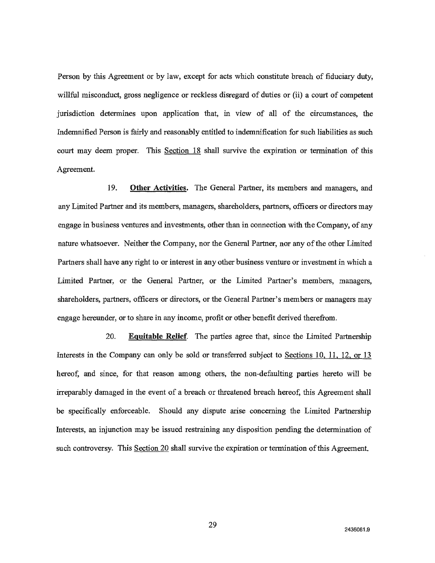Person by this Agreement or by law, except for acts which constitute breach of fiduciary duty, willful misconduct, gross negligence or reckless disregard of duties or (ii) a court of competent jurisdiction determines upon application that, in view of all of the circumstances, the Indemnified Person is fairly and reasonably entitled to indemnification for such liabilities as such court may deem proper. This Section 18shall survive the expiration or termination of this Agreement.

**19. Other Activities.** The General Partner, its members and managers, and any Limited Partner and its members, managers, shareholders, partners, officers or directors may engage in business ventures and investments, other than in connection with the Company, of any nature whatsoever. Neither the Company, nor the General Partner, nor any of the other Limited Partners shall have any right to or interest in any other business venture or investment in which a Limited Partner, or the General Partner, or the Limited Partner's members, managers, shareholders, partners, officers or directors, or the General Partner's members or managers may engage hereunder, or to share in any income, profit or other benefit derived therefrom.

**20. Equitable Relief.** The parties agree that, since the Limited Partnership Interests in the Company can only be sold or transferred subject to Sections 10, 11, 12, or 13 hereof, and since, for that reason among others, the non-defaulting parties hereto will be irreparably damaged in the event of a breach or threatened breach hereof, this Agreement shall be specifically enforceable. Should any dispute arise concerning the Limited Partnership Interests, an injunction may be issued restraining any disposition pending the determination of such controversy. This Section 20 shall survive the expiration or termination of this Agreement.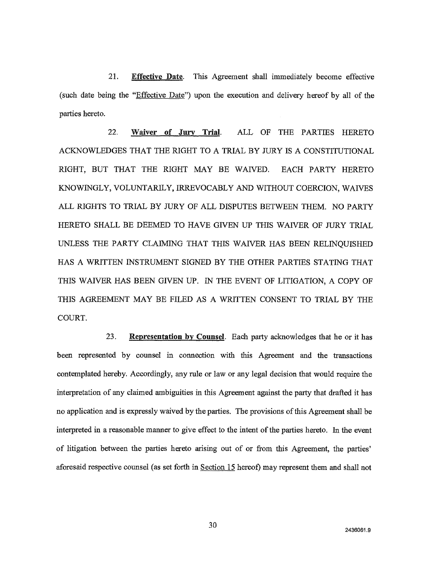21. Effective Date. This Agreement shall immediately become effective (such date being the "Effective Date") upon the execution and delivery hereof by all of the parties hereto.

**22. Waiver of Jury Trial. ALL** OF THE PARTIES HERETO ACKNOWLEDGES THAT THE RIGHT TO A TRIAL BY JURY IS A CONSTITUTIONAL RIGHT, BUT THAT THE RIGHT MAY BE WAIVED. EACH PARTY HERETO KNOWINGLY, VOLUNTARILY, IRREVOCABLY AND WITHOUT COERCION, WAIVES ALL RIGHTS TO TRIAL BY JURY OF ALL DISPUTES BETWEEN THEM. NO PARTY HERETO SHALL BE DEEMED TO HAVE GIVEN UP THIS WAIVER OF JURY TRIAL UNLESS THE PARTY CLAIMING THAT THIS WAIVER HAS BEEN RELINQUISHED HAS A WRITTEN INSTRUMENT SIGNED BY THE OTHER PARTIES STATING THAT THIS WAIVER HAS BEEN GIVEN UP. IN THE EVENT OF LITIGATION, A COPY OF THIS AGREEMENT MAY BE FILED AS A WRITTEN CONSENT TO TRIAL BY THE COURT.

**23. Representation by Counsel.** Each party acknowledges that he or it has been represented by counsel in connection with this Agreement and the transactions contemplated hereby. Accordingly, any rule or law or any legal decision that would require the interpretation of any claimed ambiguities in this Agreement against the party that drafted it has no application and is expressly waived by the parties. The provisions of this Agreement shall be interpreted in a reasonable manner to give effect to the intent of the parties hereto. In the event of litigation between the parties hereto arising out of or from this Agreement, the parties' aforesaid respective counsel (as set forth in Section 15hereof) may represent them and shall not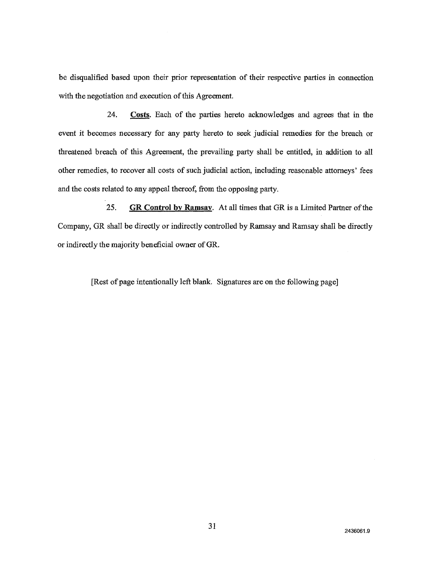be disqualified based upon their prior representation of their respective parties in connection with the negotiation and execution of this Agreement.

**24. Costs.** Each of the parties hereto acknowledges and agrees that in the event it becomes necessary for any party hereto to seek judicial remedies for the breach or threatened breach of this Agreement, the prevailing party shall be entitled, in addition to all other remedies, to recover all costs of such judicial action, including reasonable attorneys' fees and the costs related to any appeal thereof, from the opposing party.

**25. GR Control by Ramsay.** At all times that GR is a Limited Partner of the Company, GR shall be directly or indirectly controlled by Ramsay and Ramsay shall be directly or indirectly the majority beneficial owner of GR.

[Rest of page intentionally left blank. Signatures are on the following page]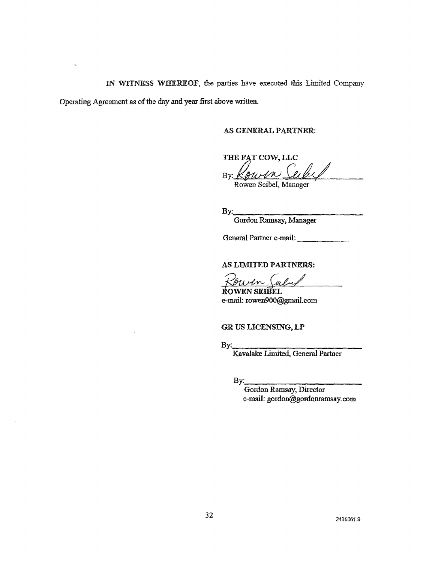IN WITNESS WHEREOF, the parties have executed this Limited Company

Operating Agreement as of the day and year first above written.

AS GENERAL PARTNER:

THE FAT COW, LLC By: *"to-144—i,f4.4/* 

kowen Seibel, Manager

By:

Gordon Ramsay, Manager

General Partner e-mail:

#### AS LIMItED PARTNERS:

esfun guito

Ito WEN SEIBEL e-mail: rowen900@gmail.com

GR US LICENSING, LP

By:

Kavalake Limited, General Partner

 $\mathbf{B}$ y:

Gordon Ramsay, Director e-mail: gordon@gordonramsay.com